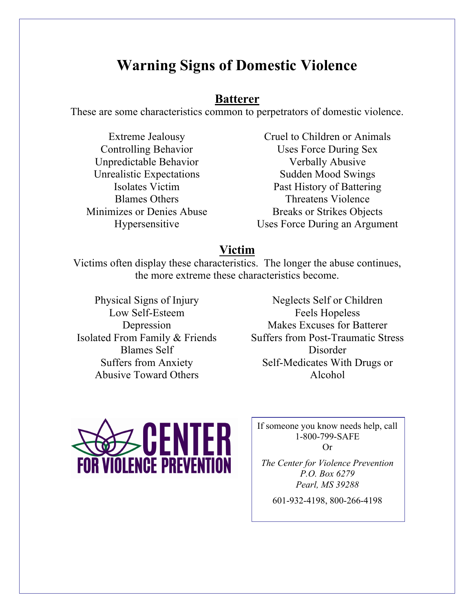# **Warning Signs of Domestic Violence**

### **Batterer**

These are some characteristics common to perpetrators of domestic violence.

Extreme Jealousy Controlling Behavior Unpredictable Behavior Unrealistic Expectations Isolates Victim Blames Others Minimizes or Denies Abuse Hypersensitive

Cruel to Children or Animals Uses Force During Sex Verbally Abusive Sudden Mood Swings Past History of Battering Threatens Violence Breaks or Strikes Objects Uses Force During an Argument

## **Victim**

Victims often display these characteristics. The longer the abuse continues, the more extreme these characteristics become.

- Physical Signs of Injury Low Self-Esteem Depression Isolated From Family & Friends Blames Self Suffers from Anxiety Abusive Toward Others
- Neglects Self or Children Feels Hopeless Makes Excuses for Batterer Suffers from Post-Traumatic Stress Disorder Self-Medicates With Drugs or Alcohol



If someone you know needs help, call 1-800-799-SAFE Or

*The Center for Violence Prevention P.O. Box 6279 Pearl, MS 39288*

601-932-4198, 800-266-4198